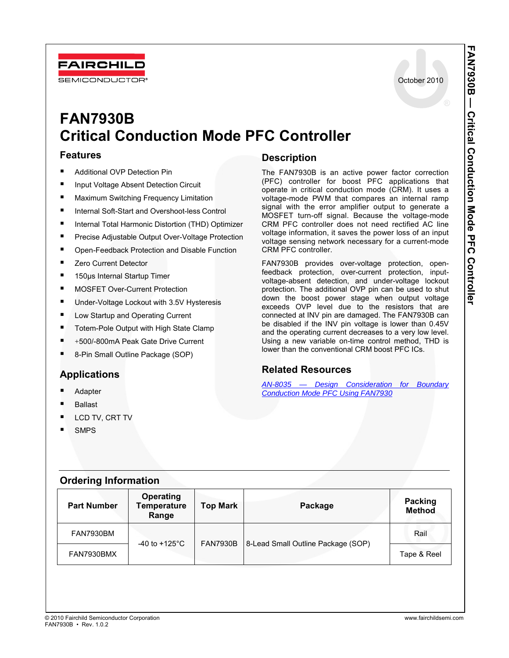October 2010

# **FAN7930B Critical Conduction Mode PFC Controller**

#### **Features**

**FAIRCHILL SEMICONDUCTOR** 

- Additional OVP Detection Pin
- Input Voltage Absent Detection Circuit
- Maximum Switching Frequency Limitation
- Internal Soft-Start and Overshoot-less Control
- Internal Total Harmonic Distortion (THD) Optimizer
- **PILIPRECISE Adjustable Output Over-Voltage Protection**
- Open-Feedback Protection and Disable Function
- Zero Current Detector
- 150μs Internal Startup Timer
- MOSFET Over-Current Protection
- Under-Voltage Lockout with 3.5V Hysteresis
- Low Startup and Operating Current
- Totem-Pole Output with High State Clamp
- +500/-800mA Peak Gate Drive Current
- 8-Pin Small Outline Package (SOP)

## **Applications**

- Adapter
- Ballast
- LCD TV, CRT TV
- **SMPS**

#### **Description**

The FAN7930B is an active power factor correction (PFC) controller for boost PFC applications that operate in critical conduction mode (CRM). It uses a voltage-mode PWM that compares an internal ramp signal with the error amplifier output to generate a MOSFET turn-off signal. Because the voltage-mode CRM PFC controller does not need rectified AC line voltage information, it saves the power loss of an input voltage sensing network necessary for a current-mode CRM PFC controller.

FAN7930B provides over-voltage protection, openfeedback protection, over-current protection, inputvoltage-absent detection, and under-voltage lockout protection. The additional OVP pin can be used to shut down the boost power stage when output voltage exceeds OVP level due to the resistors that are connected at INV pin are damaged. The FAN7930B can be disabled if the INV pin voltage is lower than 0.45V and the operating current decreases to a very low level. Using a new variable on-time control method, THD is lower than the conventional CRM boost PFC ICs.

#### **Related Resources**

*[AN-8035 — Design Consideration for Boundary](http://www.fairchildsemi.com/an/AN/AN-6027.pdf#page=1)  Conduction Mode PFC Using FAN7930*

| <b>Ordering Information</b> |  |
|-----------------------------|--|
|                             |  |

| <b>Part Number</b> | <b>Operating</b><br><b>Temperature</b><br>Range | <b>Top Mark</b>                    | Package | Packing<br><b>Method</b> |
|--------------------|-------------------------------------------------|------------------------------------|---------|--------------------------|
| FAN7930BM          | -40 to +125 $^{\circ}$ C                        | <b>FAN7930B</b>                    |         | Rail                     |
| FAN7930BMX         |                                                 | 8-Lead Small Outline Package (SOP) |         | Tape & Reel              |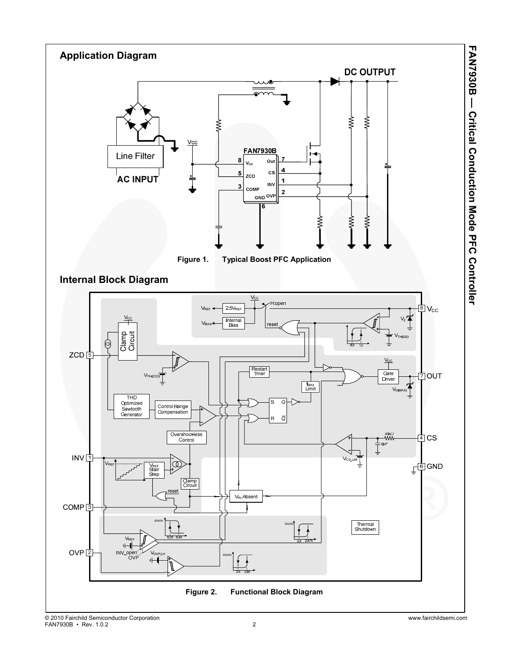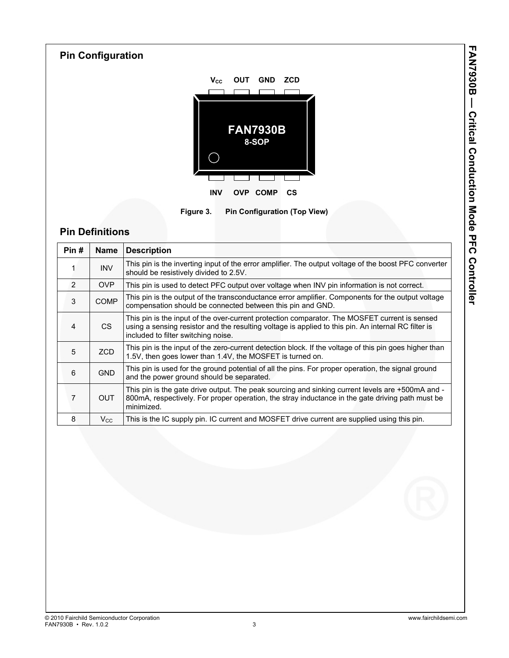



## **Pin Definitions**

| Pin# | <b>Name</b>  | <b>Description</b>                                                                                                                                                                                                                          |
|------|--------------|---------------------------------------------------------------------------------------------------------------------------------------------------------------------------------------------------------------------------------------------|
|      | <b>INV</b>   | This pin is the inverting input of the error amplifier. The output voltage of the boost PFC converter<br>should be resistively divided to 2.5V.                                                                                             |
| 2    | OVP          | This pin is used to detect PFC output over voltage when INV pin information is not correct.                                                                                                                                                 |
| 3    | <b>COMP</b>  | This pin is the output of the transconductance error amplifier. Components for the output voltage<br>compensation should be connected between this pin and GND.                                                                             |
| 4    | CS.          | This pin is the input of the over-current protection comparator. The MOSFET current is sensed<br>using a sensing resistor and the resulting voltage is applied to this pin. An internal RC filter is<br>included to filter switching noise. |
| 5    | ZCD          | This pin is the input of the zero-current detection block. If the voltage of this pin goes higher than<br>1.5V, then goes lower than 1.4V, the MOSFET is turned on.                                                                         |
| 6    | <b>GND</b>   | This pin is used for the ground potential of all the pins. For proper operation, the signal ground<br>and the power ground should be separated.                                                                                             |
| 7    | <b>OUT</b>   | This pin is the gate drive output. The peak sourcing and sinking current levels are +500mA and -<br>800mA, respectively. For proper operation, the stray inductance in the gate driving path must be<br>minimized.                          |
| 8    | $V_{\rm CC}$ | This is the IC supply pin. IC current and MOSFET drive current are supplied using this pin.                                                                                                                                                 |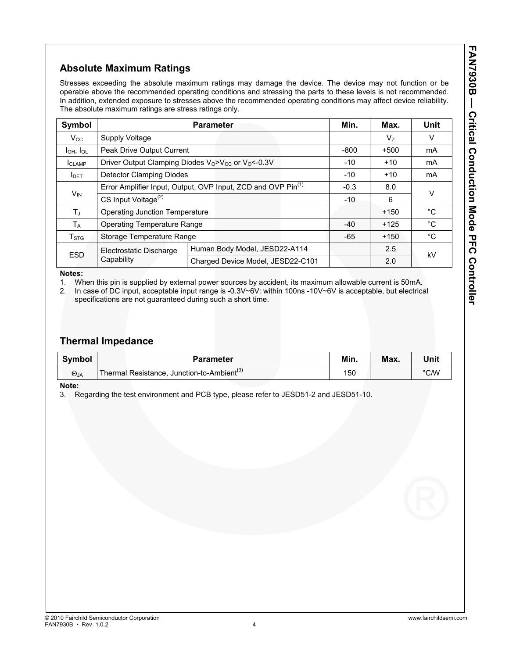## **Absolute Maximum Ratings**

Stresses exceeding the absolute maximum ratings may damage the device. The device may not function or be operable above the recommended operating conditions and stressing the parts to these levels is not recommended. In addition, extended exposure to stresses above the recommended operating conditions may affect device reliability. The absolute maximum ratings are stress ratings only.

| Symbol                    |                                       | <b>Parameter</b>                                                                       | Min.   | Max.           | Unit   |
|---------------------------|---------------------------------------|----------------------------------------------------------------------------------------|--------|----------------|--------|
| $V_{\rm CC}$              | Supply Voltage                        |                                                                                        |        | V <sub>7</sub> | V      |
| $I_{OH}$ , $I_{OL}$       | Peak Drive Output Current             |                                                                                        | $-800$ | $+500$         | mA     |
| <b>I</b> CLAMP            |                                       | Driver Output Clamping Diodes V <sub>0</sub> >V <sub>CC</sub> or V <sub>0</sub> <-0.3V | $-10$  | $+10$          | mA     |
| <b>I</b> DET              | <b>Detector Clamping Diodes</b>       |                                                                                        | $-10$  | $+10$          | mA     |
|                           |                                       | Error Amplifier Input, Output, OVP Input, ZCD and OVP Pin <sup>(1)</sup>               | $-0.3$ | 8.0            | $\vee$ |
| $V_{IN}$                  | CS Input Voltage <sup>(2)</sup>       |                                                                                        | $-10$  | 6              |        |
| $T_J$                     | <b>Operating Junction Temperature</b> |                                                                                        | $+150$ | °C             |        |
| $T_A$                     | <b>Operating Temperature Range</b>    |                                                                                        | $-40$  | $+125$         | °C     |
| $\mathsf{T}_{\text{STG}}$ | Storage Temperature Range             | $-65$                                                                                  | $+150$ | °C             |        |
| <b>ESD</b>                | Electrostatic Discharge               | Human Body Model, JESD22-A114                                                          |        | 2.5            |        |
|                           | Capability                            | Charged Device Model, JESD22-C101                                                      |        | 2.0            | kV     |

**Notes:** 

1. When this pin is supplied by external power sources by accident, its maximum allowable current is 50mA.

2. In case of DC input, acceptable input range is -0.3V~6V: within 100ns -10V~6V is acceptable, but electrical specifications are not guaranteed during such a short time.

#### **Thermal Impedance**

| Symbol      | <b>Parameter</b>                                       | Min. | Max. | Unit           |
|-------------|--------------------------------------------------------|------|------|----------------|
| $\Theta$ JA | Thermal Resistance, Junction-to-Ambient <sup>(3)</sup> | 150  |      | $^{\circ}$ C/W |

**Note:** 

3. Regarding the test environment and PCB type, please refer to JESD51-2 and JESD51-10.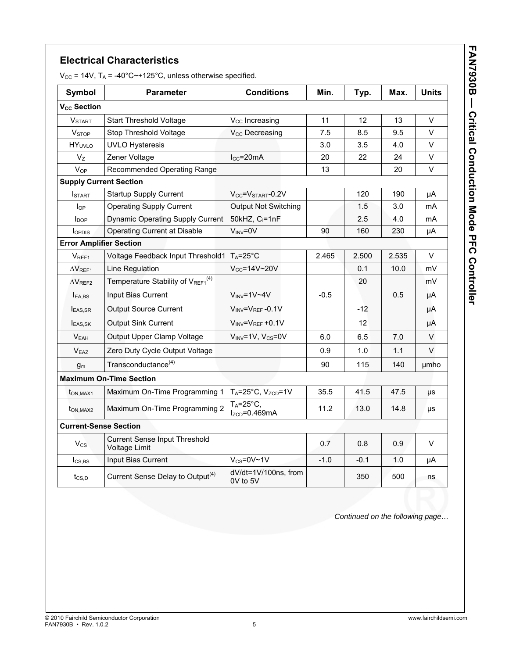#### **Electrical Characteristics**

 $V_{CC}$  = 14V,  $T_A$  = -40°C~+125°C, unless otherwise specified.

| <b>Symbol</b>                  | <b>Parameter</b>                                      | <b>Conditions</b>                                   | Min.   | Typ.   | Max.  | <b>Units</b> |
|--------------------------------|-------------------------------------------------------|-----------------------------------------------------|--------|--------|-------|--------------|
| V <sub>cc</sub> Section        |                                                       |                                                     |        |        |       |              |
| <b>VSTART</b>                  | <b>Start Threshold Voltage</b>                        | V <sub>cc</sub> Increasing                          | 11     | 12     | 13    | V            |
| <b>V<sub>STOP</sub></b>        | Stop Threshold Voltage                                | V <sub>cc</sub> Decreasing                          | 7.5    | 8.5    | 9.5   | V            |
| <b>HY</b> <sub>UVLO</sub>      | <b>UVLO Hysteresis</b>                                |                                                     | 3.0    | 3.5    | 4.0   | V            |
| $V_{Z}$                        | Zener Voltage                                         | $I_{CC}$ =20mA                                      | 20     | 22     | 24    | V            |
| <b>V<sub>OP</sub></b>          | Recommended Operating Range                           |                                                     | 13     |        | 20    | V            |
| <b>Supply Current Section</b>  |                                                       |                                                     |        |        |       |              |
| <b>I</b> START                 | <b>Startup Supply Current</b>                         | $V_{CC}$ = $V_{\rm STATE}$ -0.2V                    |        | 120    | 190   | μA           |
| $I_{OP}$                       | <b>Operating Supply Current</b>                       | <b>Output Not Switching</b>                         |        | 1.5    | 3.0   | mA           |
| $I_{\text{DOP}}$               | <b>Dynamic Operating Supply Current</b>               | 50kHZ, $C_1 = 1nF$                                  |        | 2.5    | 4.0   | mA           |
| loppis                         | <b>Operating Current at Disable</b>                   | $V_{\text{INV}} = 0V$                               | 90     | 160    | 230   | μA           |
| <b>Error Amplifier Section</b> |                                                       |                                                     |        |        |       |              |
| V <sub>REF1</sub>              | Voltage Feedback Input Threshold1                     | $T_A = 25^\circ C$                                  | 2.465  | 2.500  | 2.535 | V            |
| $\Delta V_{REF1}$              | Line Regulation                                       | $V_{CC} = 14V - 20V$                                |        | 0.1    | 10.0  | mV           |
| $\Delta V$ REF2                | Temperature Stability of VREF1(4)                     |                                                     |        | 20     |       | mV           |
| EA,BS                          | Input Bias Current                                    | $V_{INV} = 1V - 4V$                                 | $-0.5$ |        | 0.5   | μA           |
| <b>EAS.SR</b>                  | <b>Output Source Current</b>                          | $V_{\text{INV}} = V_{\text{REF}} - 0.1V$            |        | $-12$  |       | μA           |
| <b>EAS.SK</b>                  | <b>Output Sink Current</b>                            | $V_{INV} = V_{REF} + 0.1V$                          |        | 12     |       | μA           |
| V <sub>EAH</sub>               | Output Upper Clamp Voltage                            | $V_{INV} = 1V$ , $V_{CS} = 0V$                      | 6.0    | 6.5    | 7.0   | V            |
| V <sub>EAZ</sub>               | Zero Duty Cycle Output Voltage                        |                                                     | 0.9    | 1.0    | 1.1   | V            |
| g <sub>m</sub>                 | Transconductance <sup>(4)</sup>                       |                                                     | 90     | 115    | 140   | umho         |
|                                | <b>Maximum On-Time Section</b>                        |                                                     |        |        |       |              |
| t <sub>ON.MAX1</sub>           | Maximum On-Time Programming 1                         | $T_A = 25^\circ C$ , $V_{ZCD} = 1V$                 | 35.5   | 41.5   | 47.5  | μs           |
| t <sub>ON.MAX2</sub>           | Maximum On-Time Programming 2                         | $T_A = 25^\circ C$ ,<br>$I$ <sub>zcn</sub> =0.469mA | 11.2   | 13.0   | 14.8  | μs           |
| <b>Current-Sense Section</b>   |                                                       |                                                     |        |        |       |              |
| $V_{CS}$                       | <b>Current Sense Input Threshold</b><br>Voltage Limit |                                                     | 0.7    | 0.8    | 0.9   | V            |
| $I_{CS,BS}$                    | Input Bias Current                                    | $V_{CS} = 0V - 1V$                                  | $-1.0$ | $-0.1$ | 1.0   | μA           |
| t <sub>CS,D</sub>              | Current Sense Delay to Output <sup>(4)</sup>          | dV/dt=1V/100ns, from<br>0V to 5V                    |        | 350    | 500   | ns           |

*Continued on the following page…*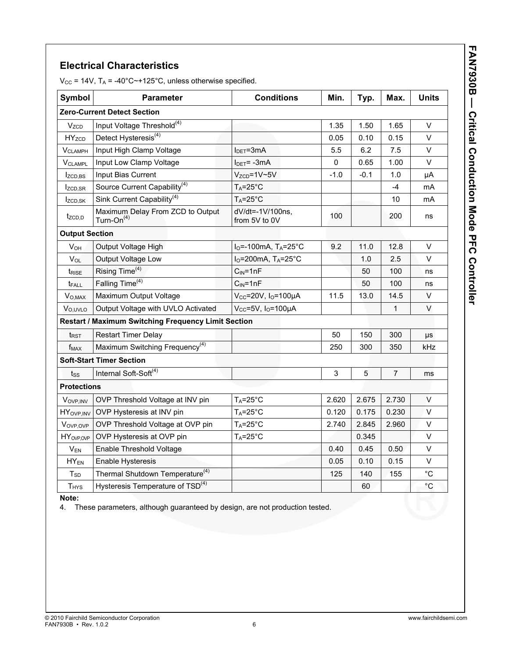## **Electrical Characteristics**

 $V_{CC}$  = 14V, T<sub>A</sub> = -40°C~+125°C, unless otherwise specified.

| Symbol                    | <b>Parameter</b>                                    | <b>Conditions</b>                  | Min.   | Typ.   | Max.           | <b>Units</b> |
|---------------------------|-----------------------------------------------------|------------------------------------|--------|--------|----------------|--------------|
|                           | <b>Zero-Current Detect Section</b>                  |                                    |        |        |                |              |
| V <sub>ZCD</sub>          | Input Voltage Threshold <sup>(4)</sup>              |                                    | 1.35   | 1.50   | 1.65           | $\vee$       |
| <b>HYzcp</b>              | Detect Hysteresis <sup>(4)</sup>                    |                                    | 0.05   | 0.10   | 0.15           | V            |
| <b>V<sub>CLAMPH</sub></b> | Input High Clamp Voltage                            | $I_{\text{DET}} = 3 \text{mA}$     | 5.5    | 6.2    | 7.5            | V            |
| <b>VCLAMPL</b>            | Input Low Clamp Voltage                             | $IDET= -3mA$                       | 0      | 0.65   | 1.00           | $\vee$       |
| Izc <sub>D,BS</sub>       | Input Bias Current                                  | $V_{ZCD} = 1V - 5V$                | $-1.0$ | $-0.1$ | 1.0            | μA           |
| $I_{ZCD,SR}$              | Source Current Capability <sup>(4)</sup>            | $T_A = 25$ °C                      |        |        | $-4$           | mA           |
| Izc <sub>D,</sub> SK      | Sink Current Capability <sup>(4)</sup>              | $T_A = 25^\circ C$                 |        |        | 10             | mA           |
| $t_{ZCD,D}$               | Maximum Delay From ZCD to Output<br>Turn-On $(4)$   | dV/dt=-1V/100ns,<br>from 5V to 0V  | 100    |        | 200            | ns           |
| <b>Output Section</b>     |                                                     |                                    |        |        |                |              |
| $V_{OH}$                  | Output Voltage High                                 | $IO=-100mA$ , T <sub>A</sub> =25°C | 9.2    | 11.0   | 12.8           | V            |
| $V_{OL}$                  | Output Voltage Low                                  | $IO=200mA$ , T <sub>A</sub> =25°C  |        | 1.0    | 2.5            | V            |
| t <sub>RISE</sub>         | Rising Time <sup>(4)</sup>                          | $CIN=1nF$                          |        | 50     | 100            | ns           |
| t <sub>FALL</sub>         | Falling Time <sup>(4)</sup>                         | $C_{IN} = 1nF$                     |        | 50     | 100            | ns           |
| V <sub>O,MAX</sub>        | Maximum Output Voltage                              | Vcc=20V, Io=100µA                  | 11.5   | 13.0   | 14.5           | $\mathsf{V}$ |
| V <sub>O,UVLO</sub>       | Output Voltage with UVLO Activated                  | $V_{CC}$ =5V, $I_{O}$ =100µA       |        |        | 1              | $\vee$       |
|                           | Restart / Maximum Switching Frequency Limit Section |                                    |        |        |                |              |
| t <sub>RST</sub>          | <b>Restart Timer Delay</b>                          |                                    | 50     | 150    | 300            | μs           |
| $f_{MAX}$                 | Maximum Switching Frequency <sup>(4)</sup>          |                                    | 250    | 300    | 350            | kHz          |
|                           | <b>Soft-Start Timer Section</b>                     |                                    |        |        |                |              |
| $t_{SS}$                  | Internal Soft-Soft <sup>(4)</sup>                   |                                    | 3      | 5      | $\overline{7}$ | ms           |
| <b>Protections</b>        |                                                     |                                    |        |        |                |              |
| VOVP, INV                 | OVP Threshold Voltage at INV pin                    | $T_A = 25^\circ C$                 | 2.620  | 2.675  | 2.730          | $\vee$       |
| HY <sub>OVP, INV</sub>    | OVP Hysteresis at INV pin                           | $T_A = 25$ °C                      | 0.120  | 0.175  | 0.230          | $\vee$       |
| Vovp.ovp                  | OVP Threshold Voltage at OVP pin                    | $T_A = 25^\circ C$                 | 2.740  | 2.845  | 2.960          | $\vee$       |
| HY <sub>OVP, OVP</sub>    | OVP Hysteresis at OVP pin                           | $T_A = 25$ °C                      |        | 0.345  |                | $\vee$       |
| $V_{EN}$                  | Enable Threshold Voltage                            |                                    | 0.40   | 0.45   | 0.50           | $\vee$       |
| $HY_{EN}$                 | <b>Enable Hysteresis</b>                            |                                    | 0.05   | 0.10   | 0.15           | $\vee$       |
| $T_{SD}$                  | Thermal Shutdown Temperature <sup>(4)</sup>         |                                    | 125    | 140    | 155            | $^{\circ}$ C |
| <b>T<sub>HYS</sub></b>    | Hysteresis Temperature of TSD <sup>(4)</sup>        |                                    |        | 60     |                | $^{\circ}$ C |

#### **Note:**

4. These parameters, although guaranteed by design, are not production tested.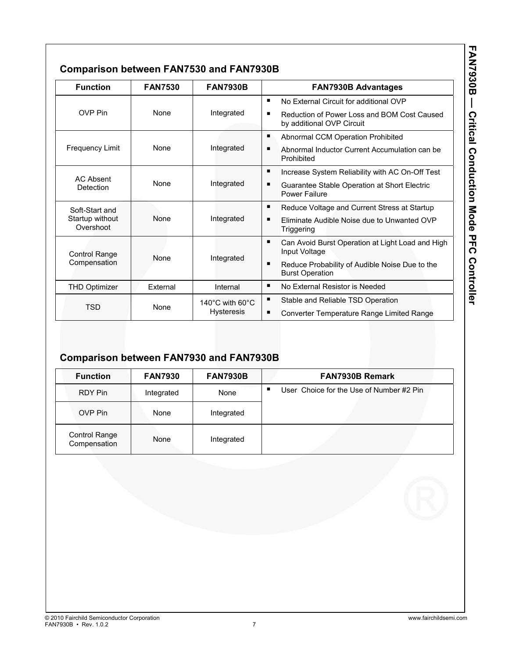| ļ                     |
|-----------------------|
|                       |
|                       |
|                       |
|                       |
|                       |
|                       |
|                       |
|                       |
|                       |
|                       |
| $\ddot{\bm{\zeta}}$   |
|                       |
|                       |
| ١                     |
|                       |
|                       |
|                       |
|                       |
|                       |
|                       |
|                       |
|                       |
|                       |
| -<br>-<br>-<br>-<br>- |
|                       |
|                       |
|                       |
| l                     |
|                       |
| $\mathbf{C}$          |
|                       |
|                       |
| $\ddot{\phantom{a}}$  |
|                       |
| $\ddot{\phantom{a}}$  |
| i                     |
|                       |
|                       |

## **Comparison between FAN7530 and FAN7930B**

| <b>Function</b>              | <b>FAN7530</b> | <b>FAN7930B</b>                       | <b>FAN7930B Advantages</b>                                                    |
|------------------------------|----------------|---------------------------------------|-------------------------------------------------------------------------------|
|                              |                |                                       | No External Circuit for additional OVP                                        |
| <b>OVP</b> Pin               | <b>None</b>    | Integrated                            | Reduction of Power Loss and BOM Cost Caused<br>by additional OVP Circuit      |
|                              |                |                                       | ٠<br>Abnormal CCM Operation Prohibited                                        |
| <b>Frequency Limit</b>       | <b>None</b>    | Integrated                            | Abnormal Inductor Current Accumulation can be<br>Prohibited                   |
| <b>AC Absent</b>             |                |                                       | Increase System Reliability with AC On-Off Test                               |
| Detection                    | <b>None</b>    | Integrated                            | Guarantee Stable Operation at Short Electric<br><b>Power Failure</b>          |
| Soft-Start and               |                |                                       | ٠<br>Reduce Voltage and Current Stress at Startup                             |
| Startup without<br>Overshoot | <b>None</b>    | Integrated                            | Eliminate Audible Noise due to Unwanted OVP<br>Triggering                     |
| <b>Control Range</b>         | <b>None</b>    |                                       | п<br>Can Avoid Burst Operation at Light Load and High<br>Input Voltage        |
| Compensation                 |                | Integrated                            | Reduce Probability of Audible Noise Due to the<br>п<br><b>Burst Operation</b> |
| <b>THD Optimizer</b>         | External       | Internal                              | ٠<br>No External Resistor is Needed                                           |
|                              |                | 140 $^{\circ}$ C with 60 $^{\circ}$ C | ٠<br>Stable and Reliable TSD Operation                                        |
| <b>TSD</b>                   | None           | <b>Hysteresis</b>                     | ٠<br>Converter Temperature Range Limited Range                                |

## **Comparison between FAN7930 and FAN7930B**

| <b>Function</b>                      | <b>FAN7930</b> | <b>FAN7930B</b> | <b>FAN7930B Remark</b>                   |
|--------------------------------------|----------------|-----------------|------------------------------------------|
| RDY Pin                              | Integrated     | None            | User Choice for the Use of Number #2 Pin |
| OVP Pin                              | None           | Integrated      |                                          |
| <b>Control Range</b><br>Compensation | None           | Integrated      |                                          |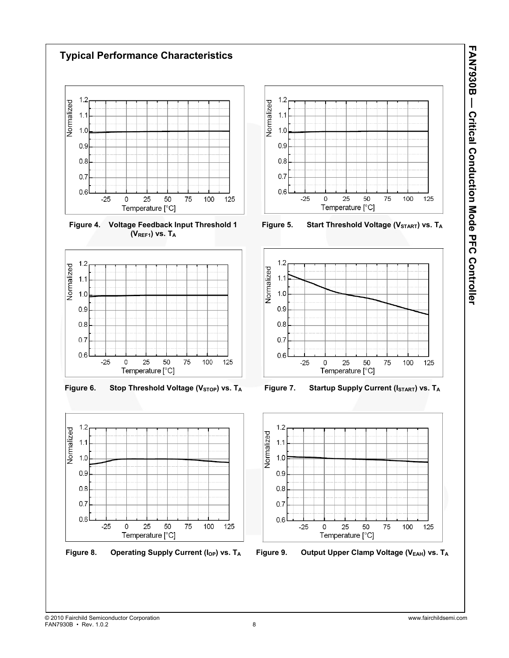

FAN7930B • Rev. 1.0.2 8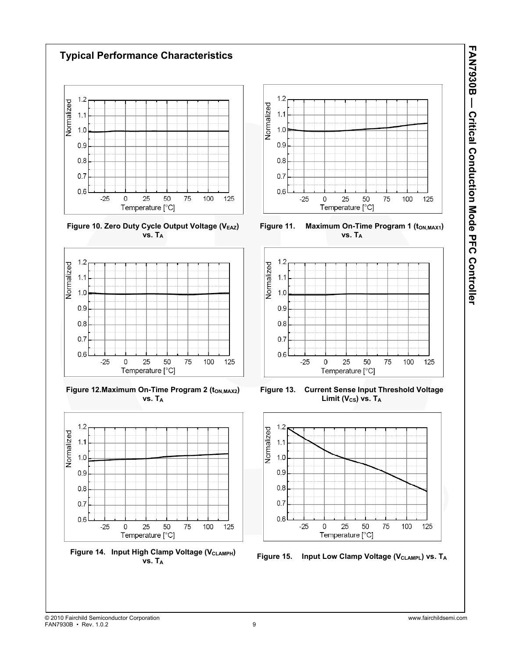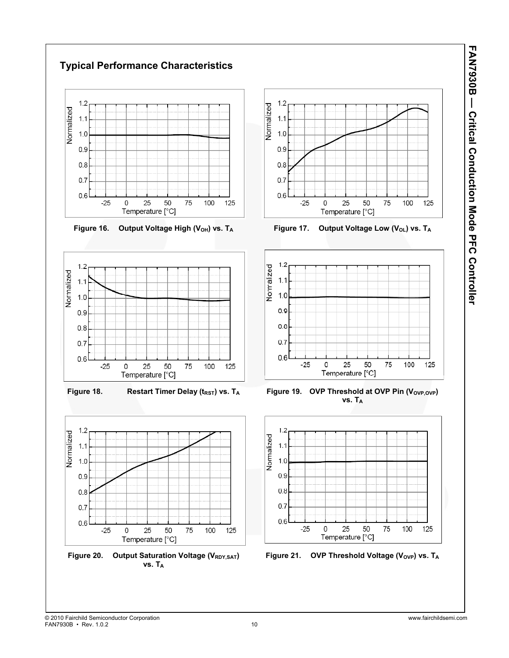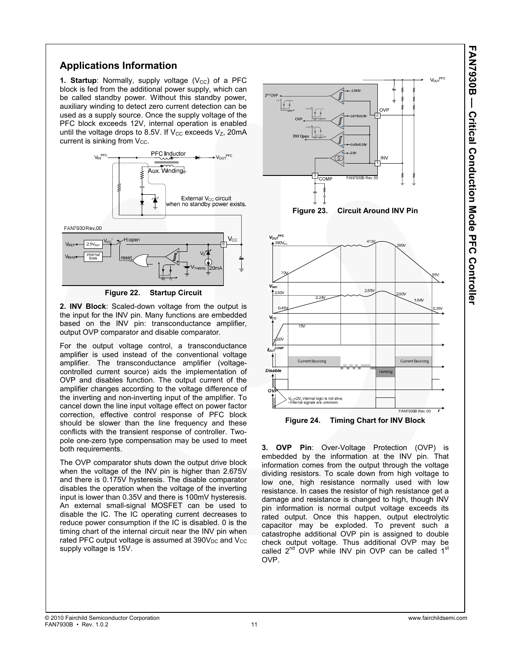#### **Applications Information**

**1. Startup**: Normally, supply voltage  $(V_{CC})$  of a PFC block is fed from the additional power supply, which can be called standby power. Without this standby power, auxiliary winding to detect zero current detection can be used as a supply source. Once the supply voltage of the PFC block exceeds 12V, internal operation is enabled until the voltage drops to 8.5V. If  $V_{CC}$  exceeds  $V_Z$ , 20mA current is sinking from  $V_{CC}$ .



**Figure 22. Startup Circuit** 

**2. INV Block**: Scaled-down voltage from the output is the input for the INV pin. Many functions are embedded based on the INV pin: transconductance amplifier, output OVP comparator and disable comparator.

For the output voltage control, a transconductance amplifier is used instead of the conventional voltage amplifier. The transconductance amplifier (voltagecontrolled current source) aids the implementation of OVP and disables function. The output current of the amplifier changes according to the voltage difference of the inverting and non-inverting input of the amplifier. To cancel down the line input voltage effect on power factor correction, effective control response of PFC block should be slower than the line frequency and these conflicts with the transient response of controller. Twopole one-zero type compensation may be used to meet both requirements.

The OVP comparator shuts down the output drive block when the voltage of the INV pin is higher than 2.675V and there is 0.175V hysteresis. The disable comparator disables the operation when the voltage of the inverting input is lower than 0.35V and there is 100mV hysteresis. An external small-signal MOSFET can be used to disable the IC. The IC operating current decreases to reduce power consumption if the IC is disabled. 0 is the timing chart of the internal circuit near the INV pin when rated PFC output voltage is assumed at  $390V<sub>DC</sub>$  and  $V<sub>CC</sub>$ supply voltage is 15V.



**3. OVP Pin**: Over-Voltage Protection (OVP) is embedded by the information at the INV pin. That information comes from the output through the voltage dividing resistors. To scale down from high voltage to low one, high resistance normally used with low resistance. In cases the resistor of high resistance get a damage and resistance is changed to high, though INV pin information is normal output voltage exceeds its rated output. Once this happen, output electrolytic capacitor may be exploded. To prevent such a catastrophe additional OVP pin is assigned to double check output voltage. Thus additional OVP may be called  $2^{nd}$  OVP while INV pin OVP can be called  $1^{st}$ OVP.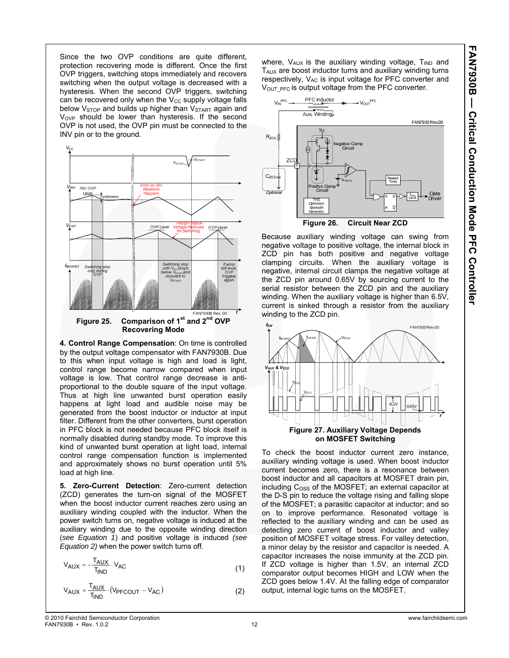Since the two OVP conditions are quite different, protection recovering mode is different. Once the first OVP triggers, switching stops immediately and recovers switching when the output voltage is decreased with a hysteresis. When the second OVP triggers, switching can be recovered only when the  $V_{CC}$  supply voltage falls below V<sub>STOP</sub> and builds up higher than V<sub>START</sub> again and V<sub>OVP</sub> should be lower than hysteresis. If the second OVP is not used, the OVP pin must be connected to the INV pin or to the ground.



**4. Control Range Compensation**: On time is controlled by the output voltage compensator with FAN7930B. Due to this when input voltage is high and load is light, control range become narrow compared when input voltage is low. That control range decrease is antiproportional to the double square of the input voltage. Thus at high line unwanted burst operation easily happens at light load and audible noise may be generated from the boost inductor or inductor at input filter. Different from the other converters, burst operation in PFC block is not needed because PFC block itself is normally disabled during standby mode. To improve this kind of unwanted burst operation at light load, internal control range compensation function is implemented and approximately shows no burst operation until 5% load at high line.

**5. Zero-Current Detection**: Zero-current detection (ZCD) generates the turn-on signal of the MOSFET when the boost inductor current reaches zero using an auxiliary winding coupled with the inductor. When the power switch turns on, negative voltage is induced at the auxiliary winding due to the opposite winding direction (*see Equation 1*) and positive voltage is induced *(see Equation 2)* when the power switch turns off.

$$
V_{AUX} = -\frac{T_{AUX}}{T_{IND}} \cdot V_{AC}
$$
 (1)

$$
V_{AUX} = \frac{T_{AUX}}{T_{IND}} \cdot (V_{PFCOUT} - V_{AC})
$$
 (2)

where,  $V_{AUX}$  is the auxiliary winding voltage,  $T_{IND}$  and TAUX are boost inductor turns and auxiliary winding turns respectively. V<sub>AC</sub> is input voltage for PFC converter and V<sub>OUT</sub> PFC is output voltage from the PFC converter.



Because auxiliary winding voltage can swing from negative voltage to positive voltage, the internal block in ZCD pin has both positive and negative voltage clamping circuits. When the auxiliary voltage is negative, internal circuit clamps the negative voltage at the ZCD pin around 0.65V by sourcing current to the serial resistor between the ZCD pin and the auxiliary winding. When the auxiliary voltage is higher than 6.5V, current is sinked through a resistor from the auxiliary winding to the ZCD pin.



To check the boost inductor current zero instance, auxiliary winding voltage is used. When boost inductor current becomes zero, there is a resonance between boost inductor and all capacitors at MOSFET drain pin, including C<sub>OSS</sub> of the MOSFET; an external capacitor at the D-S pin to reduce the voltage rising and falling slope of the MOSFET; a parasitic capacitor at inductor; and so on to improve performance. Resonated voltage is reflected to the auxiliary winding and can be used as detecting zero current of boost inductor and valley position of MOSFET voltage stress. For valley detection, a minor delay by the resistor and capacitor is needed. A capacitor increases the noise immunity at the ZCD pin. If ZCD voltage is higher than 1.5V, an internal ZCD comparator output becomes HIGH and LOW when the ZCD goes below 1.4V. At the falling edge of comparator output, internal logic turns on the MOSFET.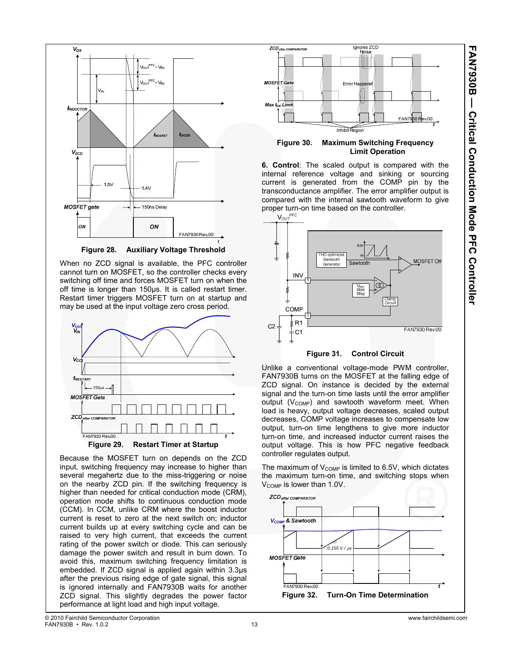

**Figure 28. Auxiliary Voltage Threshold** 

When no ZCD signal is available, the PFC controller cannot turn on MOSFET, so the controller checks every switching off time and forces MOSFET turn on when the off time is longer than 150μs. It is called restart timer. Restart timer triggers MOSFET turn on at startup and may be used at the input voltage zero cross period.



Because the MOSFET turn on depends on the ZCD input, switching frequency may increase to higher than several megahertz due to the miss-triggering or noise on the nearby ZCD pin. If the switching frequency is higher than needed for critical conduction mode (CRM), operation mode shifts to continuous conduction mode (CCM). In CCM, unlike CRM where the boost inductor current is reset to zero at the next switch on; inductor current builds up at every switching cycle and can be raised to very high current, that exceeds the current rating of the power switch or diode. This can seriously damage the power switch and result in burn down. To avoid this, maximum switching frequency limitation is embedded. If ZCD signal is applied again within 3.3μs after the previous rising edge of gate signal, this signal is ignored internally and FAN7930B waits for another ZCD signal. This slightly degrades the power factor performance at light load and high input voltage.



**Figure 30. Maximum Switching Frequency Limit Operation** 

**6. Control**: The scaled output is compared with the internal reference voltage and sinking or sourcing current is generated from the COMP pin by the transconductance amplifier. The error amplifier output is compared with the internal sawtooth waveform to give



Unlike a conventional voltage-mode PWM controller, FAN7930B turns on the MOSFET at the falling edge of ZCD signal. On instance is decided by the external signal and the turn-on time lasts until the error amplifier output  $(V_{\text{COMP}})$  and sawtooth waveform meet. When load is heavy, output voltage decreases, scaled output decreases, COMP voltage increases to compensate low output, turn-on time lengthens to give more inductor turn-on time, and increased inductor current raises the output voltage. This is how PFC negative feedback controller regulates output.

The maximum of  $V_{\text{COMP}}$  is limited to 6.5V, which dictates the maximum turn-on time, and switching stops when V<sub>COMP</sub> is lower than 1.0V.

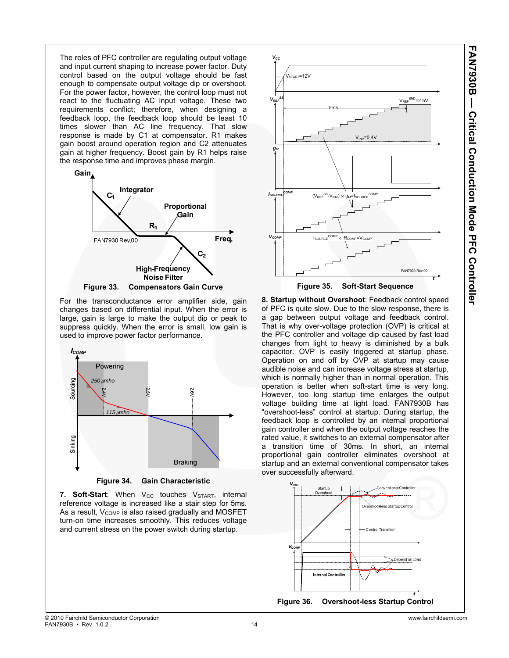The roles of PFC controller are regulating output voltage and input current shaping to increase power factor. Duty control based on the output voltage should be fast enough to compensate output voltage dip or overshoot. For the power factor, however, the control loop must not react to the fluctuating AC input voltage. These two requirements conflict; therefore, when designing a feedback loop, the feedback loop should be least 10 times slower than AC line frequency. That slow response is made by C1 at compensator. R1 makes gain boost around operation region and C2 attenuates gain at higher frequency. Boost gain by R1 helps raise the response time and improves phase margin.



For the transconductance error amplifier side, gain changes based on differential input. When the error is large, gain is large to make the output dip or peak to suppress quickly. When the error is small, low gain is used to improve power factor performance.



**Figure 34. Gain Characteristic** 

7. Soft-Start: When V<sub>CC</sub> touches V<sub>START</sub>, internal reference voltage is increased like a stair step for 5ms. As a result, V<sub>COMP</sub> is also raised gradually and MOSFET turn-on time increases smoothly. This reduces voltage and current stress on the power switch during startup.



**8. Startup without Overshoot**: Feedback control speed of PFC is quite slow. Due to the slow response, there is a gap between output voltage and feedback control. That is why over-voltage protection (OVP) is critical at the PFC controller and voltage dip caused by fast load changes from light to heavy is diminished by a bulk capacitor. OVP is easily triggered at startup phase. Operation on and off by OVP at startup may cause audible noise and can increase voltage stress at startup, which is normally higher than in normal operation. This operation is better when soft-start time is very long. However, too long startup time enlarges the output voltage building time at light load. FAN7930B has "overshoot-less" control at startup. During startup, the feedback loop is controlled by an internal proportional gain controller and when the output voltage reaches the rated value, it switches to an external compensator after a transition time of 30ms. In short, an internal proportional gain controller eliminates overshoot at startup and an external conventional compensator takes over successfully afterward.

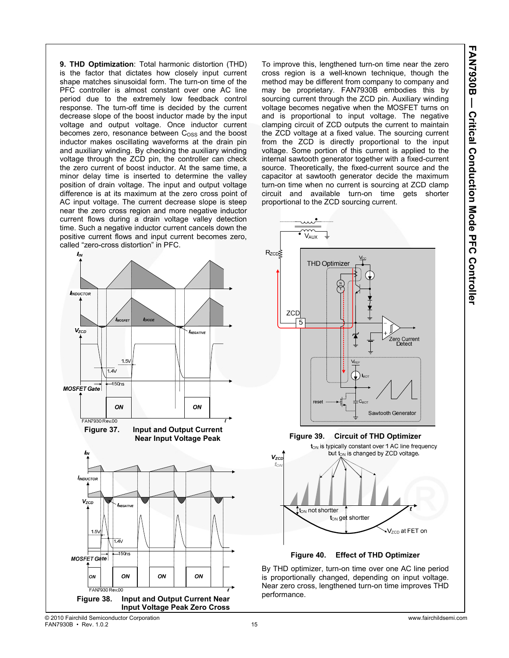**FAN7930B — Critical Conduction Mode PFC Controller AN7930B — Critical Conduction Mode PFC Controller** 

**9. THD Optimization**: Total harmonic distortion (THD) is the factor that dictates how closely input current shape matches sinusoidal form. The turn-on time of the PFC controller is almost constant over one AC line period due to the extremely low feedback control response. The turn-off time is decided by the current decrease slope of the boost inductor made by the input voltage and output voltage. Once inductor current becomes zero, resonance between  $C<sub>OSS</sub>$  and the boost inductor makes oscillating waveforms at the drain pin and auxiliary winding. By checking the auxiliary winding voltage through the ZCD pin, the controller can check the zero current of boost inductor. At the same time, a minor delay time is inserted to determine the valley position of drain voltage. The input and output voltage difference is at its maximum at the zero cross point of AC input voltage. The current decrease slope is steep near the zero cross region and more negative inductor current flows during a drain voltage valley detection time. Such a negative inductor current cancels down the positive current flows and input current becomes zero, called "zero-cross distortion" in PFC.



To improve this, lengthened turn-on time near the zero cross region is a well-known technique, though the method may be different from company to company and may be proprietary. FAN7930B embodies this by sourcing current through the ZCD pin. Auxiliary winding voltage becomes negative when the MOSFET turns on and is proportional to input voltage. The negative clamping circuit of ZCD outputs the current to maintain the ZCD voltage at a fixed value. The sourcing current from the ZCD is directly proportional to the input voltage. Some portion of this current is applied to the internal sawtooth generator together with a fixed-current source. Theoretically, the fixed-current source and the capacitor at sawtooth generator decide the maximum turn-on time when no current is sourcing at ZCD clamp circuit and available turn-on time gets shorter proportional to the ZCD sourcing current.



**Figure 40. Effect of THD Optimizer** 

By THD optimizer, turn-on time over one AC line period is proportionally changed, depending on input voltage. Near zero cross, lengthened turn-on time improves THD performance.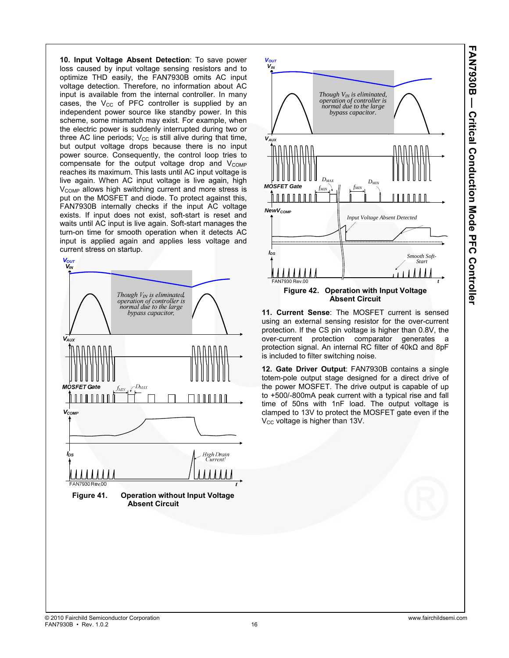**10. Input Voltage Absent Detection**: To save power loss caused by input voltage sensing resistors and to optimize THD easily, the FAN7930B omits AC input voltage detection. Therefore, no information about AC input is available from the internal controller. In many cases, the  $V_{CC}$  of PFC controller is supplied by an independent power source like standby power. In this scheme, some mismatch may exist. For example, when the electric power is suddenly interrupted during two or three AC line periods;  $V_{CC}$  is still alive during that time, but output voltage drops because there is no input power source. Consequently, the control loop tries to compensate for the output voltage drop and  $V_{\text{COMP}}$ reaches its maximum. This lasts until AC input voltage is live again. When AC input voltage is live again, high  $V<sub>COMP</sub>$  allows high switching current and more stress is put on the MOSFET and diode. To protect against this, FAN7930B internally checks if the input AC voltage exists. If input does not exist, soft-start is reset and waits until AC input is live again. Soft-start manages the turn-on time for smooth operation when it detects AC input is applied again and applies less voltage and current stress on startup.





**11. Current Sense**: The MOSFET current is sensed using an external sensing resistor for the over-current protection. If the CS pin voltage is higher than 0.8V, the over-current protection comparator generates a protection signal. An internal RC filter of 40kΩ and 8pF is included to filter switching noise.

**12. Gate Driver Output**: FAN7930B contains a single totem-pole output stage designed for a direct drive of the power MOSFET. The drive output is capable of up to +500/-800mA peak current with a typical rise and fall time of 50ns with 1nF load. The output voltage is clamped to 13V to protect the MOSFET gate even if the  $V_{\text{CC}}$  voltage is higher than 13V.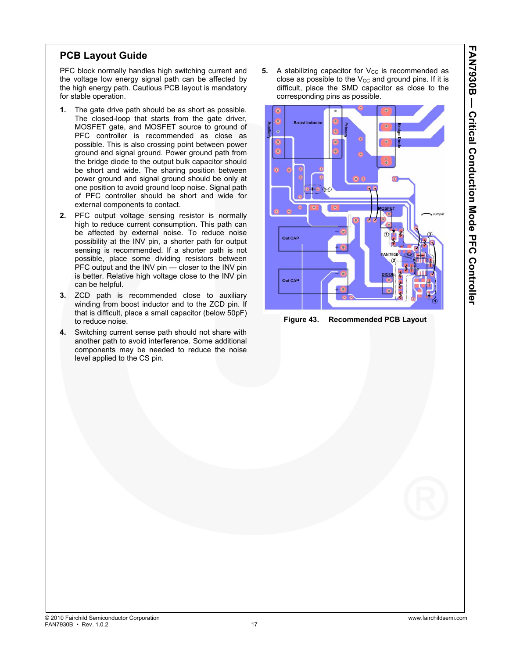#### **PCB Layout Guide**

PFC block normally handles high switching current and the voltage low energy signal path can be affected by the high energy path. Cautious PCB layout is mandatory for stable operation.

- **1.** The gate drive path should be as short as possible. The closed-loop that starts from the gate driver, MOSFET gate, and MOSFET source to ground of PFC controller is recommended as close as possible. This is also crossing point between power ground and signal ground. Power ground path from the bridge diode to the output bulk capacitor should be short and wide. The sharing position between power ground and signal ground should be only at one position to avoid ground loop noise. Signal path of PFC controller should be short and wide for external components to contact.
- **2.** PFC output voltage sensing resistor is normally high to reduce current consumption. This path can be affected by external noise. To reduce noise possibility at the INV pin, a shorter path for output sensing is recommended. If a shorter path is not possible, place some dividing resistors between PFC output and the INV pin - closer to the INV pin is better. Relative high voltage close to the INV pin can be helpful.
- **3.** ZCD path is recommended close to auxiliary winding from boost inductor and to the ZCD pin. If that is difficult, place a small capacitor (below 50pF) to reduce noise.
- **4.** Switching current sense path should not share with another path to avoid interference. Some additional components may be needed to reduce the noise level applied to the CS pin.

**5.** A stabilizing capacitor for  $V_{CC}$  is recommended as close as possible to the  $V_{CC}$  and ground pins. If it is difficult, place the SMD capacitor as close to the corresponding pins as possible.



**Figure 43. Recommended PCB Layout**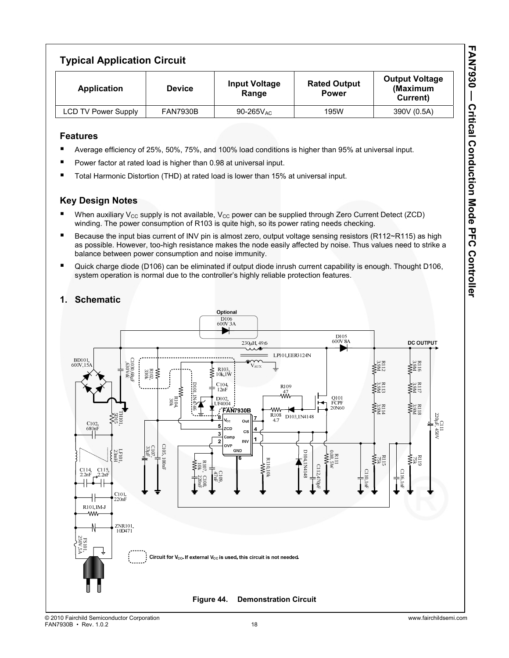## **Typical Application Circuit**

| <b>Application</b>         | <b>Device</b>   | <b>Input Voltage</b><br>Range | <b>Rated Output</b><br><b>Power</b> | <b>Output Voltage</b><br>(Maximum<br>Current) |
|----------------------------|-----------------|-------------------------------|-------------------------------------|-----------------------------------------------|
| <b>LCD TV Power Supply</b> | <b>FAN7930B</b> | $90-265V_{AC}$                | 195W                                | 390V (0.5A)                                   |

#### **Features**

- Average efficiency of 25%, 50%, 75%, and 100% load conditions is higher than 95% at universal input.
- Power factor at rated load is higher than 0.98 at universal input.
- Total Harmonic Distortion (THD) at rated load is lower than 15% at universal input.

#### **Key Design Notes**

- When auxiliary V<sub>CC</sub> supply is not available, V<sub>CC</sub> power can be supplied through Zero Current Detect (ZCD) winding. The power consumption of R103 is quite high, so its power rating needs checking.
- Because the input bias current of INV pin is almost zero, output voltage sensing resistors (R112~R115) as high as possible. However, too-high resistance makes the node easily affected by noise. Thus values need to strike a balance between power consumption and noise immunity.
- Quick charge diode (D106) can be eliminated if output diode inrush current capability is enough. Thought D106, system operation is normal due to the controller's highly reliable protection features.



#### **1. Schematic**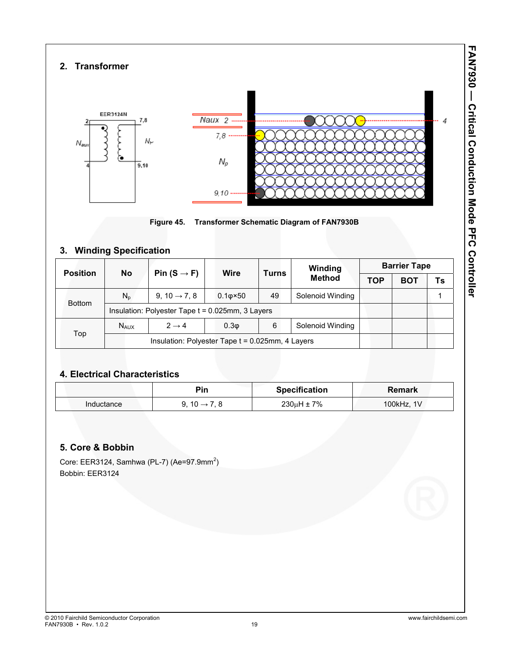## **2. Transformer**





## **3. Winding Specification**

| <b>Position</b> | <b>No</b>   |                                                     | Wire             | <b>Turns</b> | Winding<br><b>Method</b> | <b>Barrier Tape</b> |            |    |
|-----------------|-------------|-----------------------------------------------------|------------------|--------------|--------------------------|---------------------|------------|----|
|                 |             | Pin $(S \rightarrow F)$                             |                  |              |                          | <b>TOP</b>          | <b>BOT</b> | Ts |
| <b>Bottom</b>   | $N_{n}$     | 9, 10 $\rightarrow$ 7, 8                            | $0.10 \times 50$ | 49           | Solenoid Winding         |                     |            |    |
|                 |             | Insulation: Polyester Tape $t = 0.025$ mm, 3 Layers |                  |              |                          |                     |            |    |
|                 | <b>NAUX</b> | $2 \rightarrow 4$                                   | 0.3 <sub>Φ</sub> | 6            | Solenoid Winding         |                     |            |    |
| Top             |             | Insulation: Polyester Tape $t = 0.025$ mm, 4 Layers |                  |              |                          |                     |            |    |

## **4. Electrical Characteristics**

|            | Pin                    | <b>Specification</b> | Remark     |
|------------|------------------------|----------------------|------------|
| Inductance | 9.10 $\rightarrow$ 7.8 | $230\mu H \pm 7\%$   | 100kHz, 1V |

#### **5. Core & Bobbin**

Core: EER3124, Samhwa (PL-7) (Ae=97.9mm<sup>2</sup>) Bobbin: EER3124

**FAN7930 — Critical Conduction Mode PFC Controller** 

**FANS30 - Cutical Conduction Mode PC Controller**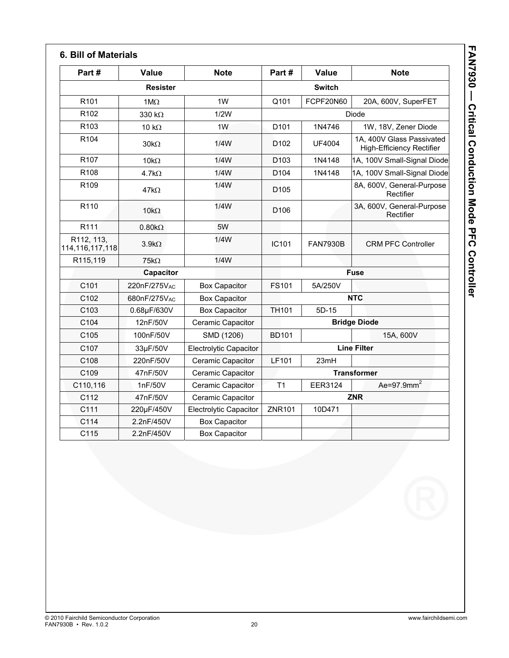| Part#                            | Value                    | <b>Note</b>                   | Part#               | Value           | <b>Note</b>                                                   |
|----------------------------------|--------------------------|-------------------------------|---------------------|-----------------|---------------------------------------------------------------|
| <b>Resister</b>                  |                          |                               | <b>Switch</b>       |                 |                                                               |
| R <sub>101</sub>                 | $1M\Omega$               | 1W                            | Q101                | FCPF20N60       | 20A, 600V, SuperFET                                           |
| R <sub>102</sub>                 | 330 k $\Omega$           | 1/2W                          | Diode               |                 |                                                               |
| R <sub>103</sub>                 | 10 $k\Omega$             | 1W                            | D101                | 1N4746          | 1W, 18V, Zener Diode                                          |
| R <sub>104</sub>                 | $30k\Omega$              | 1/4W                          | D <sub>102</sub>    | <b>UF4004</b>   | 1A, 400V Glass Passivated<br><b>High-Efficiency Rectifier</b> |
| R <sub>107</sub>                 | 10 $k\Omega$             | 1/4W                          | D <sub>103</sub>    | 1N4148          | 1A, 100V Small-Signal Diode                                   |
| R108                             | 4.7k $\Omega$            | 1/4W                          | D <sub>104</sub>    | 1N4148          | 1A, 100V Small-Signal Diode                                   |
| R <sub>109</sub>                 | $47k\Omega$              | 1/4W                          | D <sub>105</sub>    |                 | 8A, 600V, General-Purpose<br>Rectifier                        |
| R <sub>110</sub>                 | $10k\Omega$              | 1/4W                          | D <sub>106</sub>    |                 | 3A, 600V, General-Purpose<br>Rectifier                        |
| R <sub>111</sub>                 | $0.80k\Omega$            | 5W                            |                     |                 |                                                               |
| R112, 113,<br>114, 116, 117, 118 | $3.9k\Omega$             | 1/4W                          | IC <sub>101</sub>   | <b>FAN7930B</b> | <b>CRM PFC Controller</b>                                     |
| R115,119                         | $75k\Omega$              | 1/4W                          |                     |                 |                                                               |
| Capacitor                        |                          | <b>Fuse</b>                   |                     |                 |                                                               |
| C101                             | 220nF/275V <sub>AC</sub> | <b>Box Capacitor</b>          | <b>FS101</b>        | 5A/250V         |                                                               |
| C102                             | 680nF/275V <sub>AC</sub> | <b>Box Capacitor</b>          | <b>NTC</b>          |                 |                                                               |
| C <sub>103</sub>                 | 0.68µF/630V              | <b>Box Capacitor</b>          | <b>TH101</b>        | 5D-15           |                                                               |
| C104                             | 12nF/50V                 | Ceramic Capacitor             | <b>Bridge Diode</b> |                 |                                                               |
| C105                             | 100nF/50V                | SMD (1206)                    | <b>BD101</b>        |                 | 15A, 600V                                                     |
| C <sub>107</sub>                 | 33µF/50V                 | <b>Electrolytic Capacitor</b> | <b>Line Filter</b>  |                 |                                                               |
| C108                             | 220nF/50V                | Ceramic Capacitor             | LF101               | 23mH            |                                                               |
| C109                             | 47nF/50V                 | Ceramic Capacitor             |                     |                 | <b>Transformer</b>                                            |
| C110,116                         | 1nF/50V                  | Ceramic Capacitor             | T <sub>1</sub>      | <b>EER3124</b>  | Ae=97.9mm <sup>2</sup>                                        |
| C112                             | 47nF/50V                 | Ceramic Capacitor             |                     |                 | <b>ZNR</b>                                                    |
| C111                             | 220µF/450V               | <b>Electrolytic Capacitor</b> | <b>ZNR101</b>       | 10D471          |                                                               |
| C114                             | 2.2nF/450V               | <b>Box Capacitor</b>          |                     |                 |                                                               |
| C115                             | 2.2nF/450V               | <b>Box Capacitor</b>          |                     |                 |                                                               |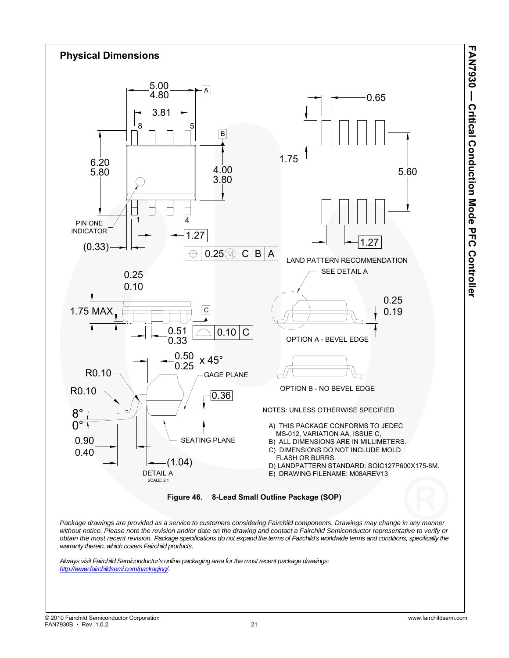



*Always visit Fairchild Semiconductor's online packaging area for the most recent package drawings: http://www.fairchildsemi.com/packaging/.*